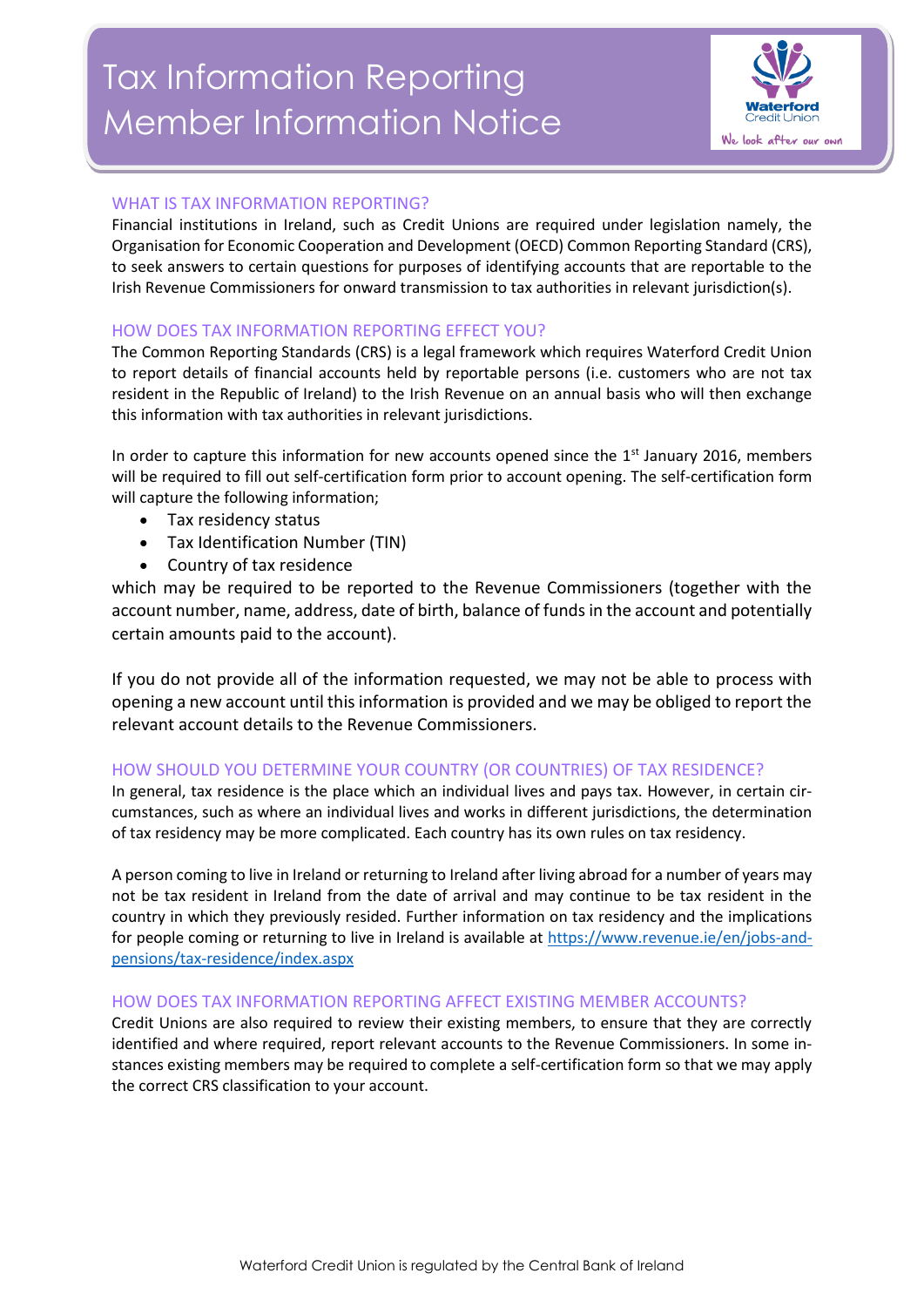# Tax Information Reporting Member Information Notice



## WHAT IS TAX INFORMATION REPORTING?

Financial institutions in Ireland, such as Credit Unions are required under legislation namely, the Organisation for Economic Cooperation and Development (OECD) Common Reporting Standard (CRS), to seek answers to certain questions for purposes of identifying accounts that are reportable to the Irish Revenue Commissioners for onward transmission to tax authorities in relevant jurisdiction(s).

#### HOW DOES TAX INFORMATION REPORTING EFFECT YOU?

The Common Reporting Standards (CRS) is a legal framework which requires Waterford Credit Union to report details of financial accounts held by reportable persons (i.e. customers who are not tax resident in the Republic of Ireland) to the Irish Revenue on an annual basis who will then exchange this information with tax authorities in relevant jurisdictions.

In order to capture this information for new accounts opened since the  $1<sup>st</sup>$  January 2016, members will be required to fill out self-certification form prior to account opening. The self-certification form will capture the following information;

- Tax residency status
- Tax Identification Number (TIN)
- Country of tax residence

which may be required to be reported to the Revenue Commissioners (together with the account number, name, address, date of birth, balance of funds in the account and potentially certain amounts paid to the account).

If you do not provide all of the information requested, we may not be able to process with opening a new account until this information is provided and we may be obliged to report the relevant account details to the Revenue Commissioners.

#### HOW SHOULD YOU DETERMINE YOUR COUNTRY (OR COUNTRIES) OF TAX RESIDENCE?

In general, tax residence is the place which an individual lives and pays tax. However, in certain circumstances, such as where an individual lives and works in different jurisdictions, the determination of tax residency may be more complicated. Each country has its own rules on tax residency.

A person coming to live in Ireland or returning to Ireland after living abroad for a number of years may not be tax resident in Ireland from the date of arrival and may continue to be tax resident in the country in which they previously resided. Further information on tax residency and the implications for people coming or returning to live in Ireland is available at [https://www.revenue.ie/en/jobs-and](https://www.revenue.ie/en/jobs-and-pensions/tax-residence/index.aspx)[pensions/tax-residence/index.aspx](https://www.revenue.ie/en/jobs-and-pensions/tax-residence/index.aspx)

#### HOW DOES TAX INFORMATION REPORTING AFFECT EXISTING MEMBER ACCOUNTS?

Credit Unions are also required to review their existing members, to ensure that they are correctly identified and where required, report relevant accounts to the Revenue Commissioners. In some instances existing members may be required to complete a self-certification form so that we may apply the correct CRS classification to your account.